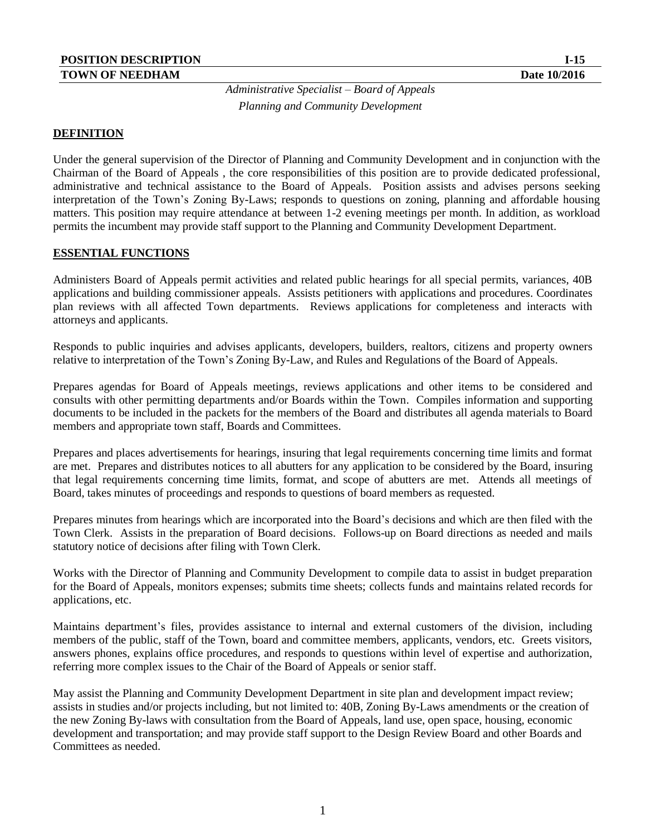*Administrative Specialist – Board of Appeals Planning and Community Development* 

#### **DEFINITION**

Under the general supervision of the Director of Planning and Community Development and in conjunction with the Chairman of the Board of Appeals , the core responsibilities of this position are to provide dedicated professional, administrative and technical assistance to the Board of Appeals. Position assists and advises persons seeking interpretation of the Town's Zoning By-Laws; responds to questions on zoning, planning and affordable housing matters. This position may require attendance at between 1-2 evening meetings per month. In addition, as workload permits the incumbent may provide staff support to the Planning and Community Development Department.

#### **ESSENTIAL FUNCTIONS**

Administers Board of Appeals permit activities and related public hearings for all special permits, variances, 40B applications and building commissioner appeals. Assists petitioners with applications and procedures. Coordinates plan reviews with all affected Town departments. Reviews applications for completeness and interacts with attorneys and applicants.

Responds to public inquiries and advises applicants, developers, builders, realtors, citizens and property owners relative to interpretation of the Town's Zoning By-Law, and Rules and Regulations of the Board of Appeals.

Prepares agendas for Board of Appeals meetings, reviews applications and other items to be considered and consults with other permitting departments and/or Boards within the Town. Compiles information and supporting documents to be included in the packets for the members of the Board and distributes all agenda materials to Board members and appropriate town staff, Boards and Committees.

Prepares and places advertisements for hearings, insuring that legal requirements concerning time limits and format are met. Prepares and distributes notices to all abutters for any application to be considered by the Board, insuring that legal requirements concerning time limits, format, and scope of abutters are met. Attends all meetings of Board, takes minutes of proceedings and responds to questions of board members as requested.

Prepares minutes from hearings which are incorporated into the Board's decisions and which are then filed with the Town Clerk. Assists in the preparation of Board decisions. Follows-up on Board directions as needed and mails statutory notice of decisions after filing with Town Clerk.

Works with the Director of Planning and Community Development to compile data to assist in budget preparation for the Board of Appeals, monitors expenses; submits time sheets; collects funds and maintains related records for applications, etc.

Maintains department's files, provides assistance to internal and external customers of the division, including members of the public, staff of the Town, board and committee members, applicants, vendors, etc. Greets visitors, answers phones, explains office procedures, and responds to questions within level of expertise and authorization, referring more complex issues to the Chair of the Board of Appeals or senior staff.

May assist the Planning and Community Development Department in site plan and development impact review; assists in studies and/or projects including, but not limited to: 40B, Zoning By-Laws amendments or the creation of the new Zoning By-laws with consultation from the Board of Appeals, land use, open space, housing, economic development and transportation; and may provide staff support to the Design Review Board and other Boards and Committees as needed.